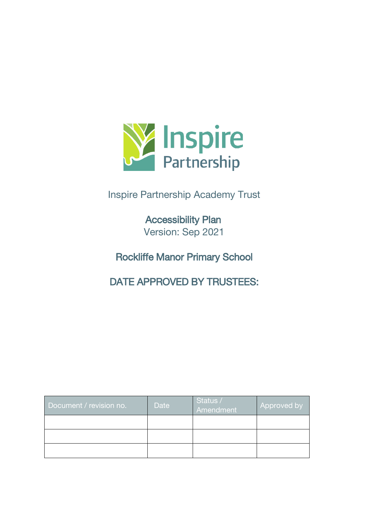

# Inspire Partnership Academy Trust

Accessibility Plan Version: Sep 2021

Rockliffe Manor Primary School

DATE APPROVED BY TRUSTEES:

| Document / revision no. | Date | Status /<br>Amendment | Approved by |
|-------------------------|------|-----------------------|-------------|
|                         |      |                       |             |
|                         |      |                       |             |
|                         |      |                       |             |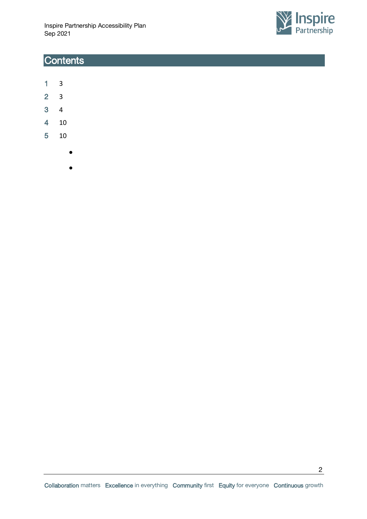

## **Contents**

- [1](#page-2-0) 3
- [2](#page-2-1) 3
- [3](#page-3-0) 4
- [4](#page-9-0) 10
- [5](#page-9-1) 10
	- ●
	- ●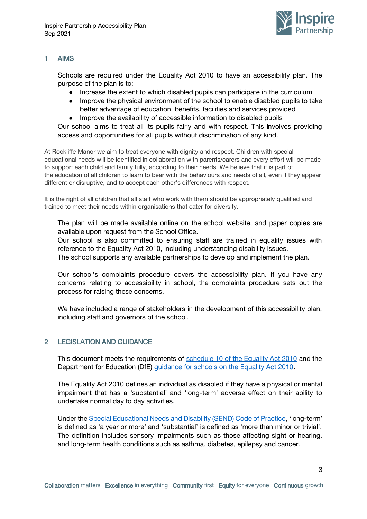

3

#### <span id="page-2-0"></span>1 AIMS

Schools are required under the Equality Act 2010 to have an accessibility plan. The purpose of the plan is to:

- Increase the extent to which disabled pupils can participate in the curriculum
- Improve the physical environment of the school to enable disabled pupils to take better advantage of education, benefits, facilities and services provided
- Improve the availability of accessible information to disabled pupils

Our school aims to treat all its pupils fairly and with respect. This involves providing access and opportunities for all pupils without discrimination of any kind.

At Rockliffe Manor we aim to treat everyone with dignity and respect. Children with special educational needs will be identified in collaboration with parents/carers and every effort will be made to support each child and family fully, according to their needs. We believe that it is part of the education of all children to learn to bear with the behaviours and needs of all, even if they appear different or disruptive, and to accept each other's differences with respect.

It is the right of all children that all staff who work with them should be appropriately qualified and trained to meet their needs within organisations that cater for diversity.

The plan will be made available online on the school website, and paper copies are available upon request from the School Office.

Our school is also committed to ensuring staff are trained in equality issues with reference to the Equality Act 2010, including understanding disability issues.

The school supports any available partnerships to develop and implement the plan.

Our school's complaints procedure covers the accessibility plan. If you have any concerns relating to accessibility in school, the complaints procedure sets out the process for raising these concerns.

We have included a range of stakeholders in the development of this accessibility plan, including staff and governors of the school.

#### <span id="page-2-1"></span>2 LEGISLATION AND GUIDANCE

This document meets the requirements of [schedule 10 of the Equality Act 2010](http://www.legislation.gov.uk/ukpga/2010/15/schedule/10) and the Department for Education (DfE) [guidance for schools on the Equality Act 2010.](https://www.gov.uk/government/publications/equality-act-2010-advice-for-schools)

The Equality Act 2010 defines an individual as disabled if they have a physical or mental impairment that has a 'substantial' and 'long-term' adverse effect on their ability to undertake normal day to day activities.

Under the [Special Educational Needs and Disability \(SEND\) Code of Practice](https://www.gov.uk/government/publications/send-code-of-practice-0-to-25), 'long-term' is defined as 'a year or more' and 'substantial' is defined as 'more than minor or trivial'. The definition includes sensory impairments such as those affecting sight or hearing, and long-term health conditions such as asthma, diabetes, epilepsy and cancer.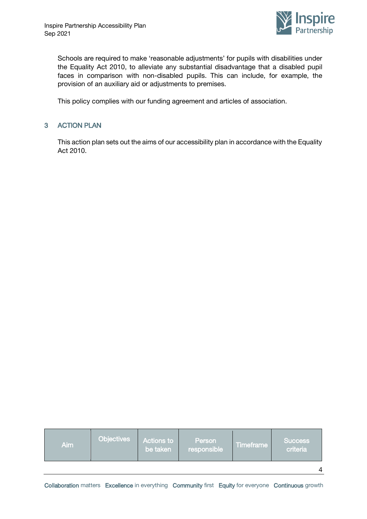

Schools are required to make 'reasonable adjustments' for pupils with disabilities under the Equality Act 2010, to alleviate any substantial disadvantage that a disabled pupil faces in comparison with non-disabled pupils. This can include, for example, the provision of an auxiliary aid or adjustments to premises.

This policy complies with our funding agreement and articles of association.

#### <span id="page-3-0"></span>3 ACTION PLAN

This action plan sets out the aims of our accessibility plan in accordance with the Equality Act 2010.

| Aim | <b>Objectives</b> | <b>Actions to</b><br>be taken | Person<br>responsible | Timeframe | <b>Success</b><br>criteria |
|-----|-------------------|-------------------------------|-----------------------|-----------|----------------------------|
|     |                   |                               |                       |           |                            |

Collaboration matters Excellence in everything Community first Equity for everyone Continuous growth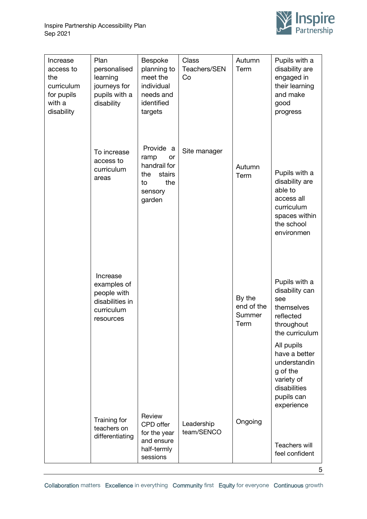

| Increase<br>access to<br>the<br>curriculum<br>for pupils<br>with a<br>disability | Plan<br>personalised<br>learning<br>journeys for<br>pupils with a<br>disability      | Bespoke<br>planning to<br>meet the<br>individual<br>needs and<br>identified<br>targets     | Class<br>Teachers/SEN<br>Co | Autumn<br>Term                         | Pupils with a<br>disability are<br>engaged in<br>their learning<br>and make<br>good<br>progress                                                                                                          |
|----------------------------------------------------------------------------------|--------------------------------------------------------------------------------------|--------------------------------------------------------------------------------------------|-----------------------------|----------------------------------------|----------------------------------------------------------------------------------------------------------------------------------------------------------------------------------------------------------|
|                                                                                  | To increase<br>access to<br>curriculum<br>areas                                      | Provide a<br>ramp<br>or<br>handrail for<br>the<br>stairs<br>the<br>to<br>sensory<br>garden | Site manager                | Autumn<br>Term                         | Pupils with a<br>disability are<br>able to<br>access all<br>curriculum<br>spaces within<br>the school<br>environmen                                                                                      |
|                                                                                  | Increase<br>examples of<br>people with<br>disabilities in<br>curriculum<br>resources |                                                                                            |                             | By the<br>end of the<br>Summer<br>Term | Pupils with a<br>disability can<br>see<br>themselves<br>reflected<br>throughout<br>the curriculum<br>All pupils<br>have a better<br>understandin<br>g of the<br>variety of<br>disabilities<br>pupils can |
|                                                                                  | Training for<br>teachers on<br>differentiating                                       | Review<br>CPD offer<br>for the year<br>and ensure<br>half-termly<br>sessions               | Leadership<br>team/SENCO    | Ongoing                                | experience<br><b>Teachers will</b><br>feel confident                                                                                                                                                     |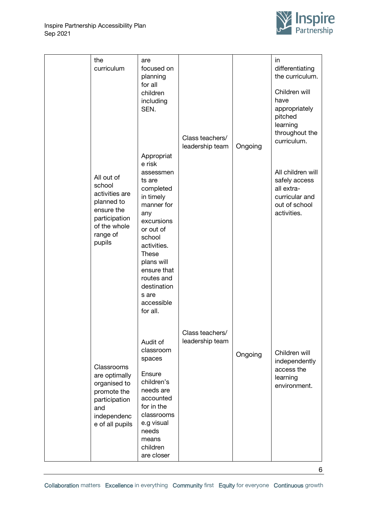

| the<br>curriculum                                                                                                         | are<br>focused on<br>planning<br>for all<br>children<br>including<br>SEN.<br>Appropriat<br>e risk                                                                                                                                   | Class teachers/<br>leadership team | Ongoing | in<br>differentiating<br>the curriculum.<br>Children will<br>have<br>appropriately<br>pitched<br>learning<br>throughout the<br>curriculum. |
|---------------------------------------------------------------------------------------------------------------------------|-------------------------------------------------------------------------------------------------------------------------------------------------------------------------------------------------------------------------------------|------------------------------------|---------|--------------------------------------------------------------------------------------------------------------------------------------------|
| All out of<br>school<br>activities are<br>planned to<br>ensure the<br>participation<br>of the whole<br>range of<br>pupils | assessmen<br>ts are<br>completed<br>in timely<br>manner for<br>any<br>excursions<br>or out of<br>school<br>activities.<br><b>These</b><br>plans will<br>ensure that<br>routes and<br>destination<br>s are<br>accessible<br>for all. |                                    |         | All children will<br>safely access<br>all extra-<br>curricular and<br>out of school<br>activities.                                         |
| Classrooms<br>are optimally<br>organised to<br>promote the<br>participation<br>and<br>independenc<br>e of all pupils      | Audit of<br>classroom<br>spaces<br>Ensure<br>children's<br>needs are<br>accounted<br>for in the<br>classrooms<br>e.g visual<br>needs<br>means<br>children<br>are closer                                                             | Class teachers/<br>leadership team | Ongoing | Children will<br>independently<br>access the<br>learning<br>environment.                                                                   |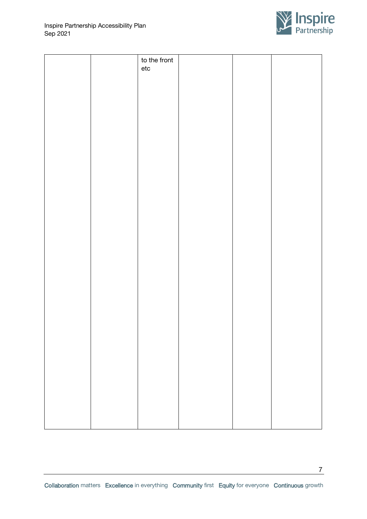

7

|  | to the front<br>$\rm etc$ |  |  |
|--|---------------------------|--|--|
|  |                           |  |  |
|  |                           |  |  |
|  |                           |  |  |
|  |                           |  |  |
|  |                           |  |  |
|  |                           |  |  |
|  |                           |  |  |
|  |                           |  |  |
|  |                           |  |  |
|  |                           |  |  |
|  |                           |  |  |
|  |                           |  |  |
|  |                           |  |  |
|  |                           |  |  |
|  |                           |  |  |
|  |                           |  |  |
|  |                           |  |  |
|  |                           |  |  |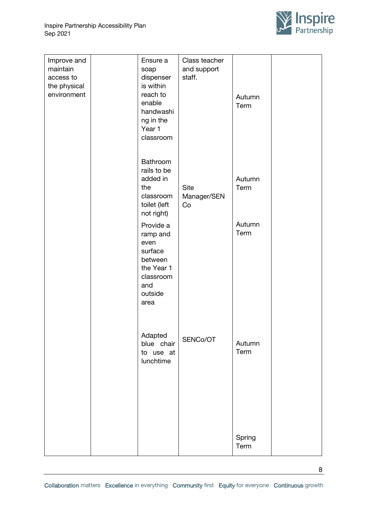

8

| Improve and<br>maintain<br>access to<br>the physical<br>environment | Ensure a<br>soap<br>dispenser<br>is within<br>reach to<br>enable<br>handwashi<br>ng in the<br>Year 1<br>classroom | Class teacher<br>and support<br>staff. | Autumn<br>Term |  |
|---------------------------------------------------------------------|-------------------------------------------------------------------------------------------------------------------|----------------------------------------|----------------|--|
|                                                                     | Bathroom<br>rails to be<br>added in<br>the<br>classroom<br>toilet (left<br>not right)                             | <b>Site</b><br>Manager/SEN<br>Co       | Autumn<br>Term |  |
|                                                                     | Provide a<br>ramp and<br>even<br>surface<br>between<br>the Year 1<br>classroom<br>and<br>outside<br>area          |                                        | Autumn<br>Term |  |
|                                                                     | Adapted<br>blue chair<br>to use at<br>lunchtime                                                                   | SENCo/OT                               | Autumn<br>Term |  |
|                                                                     |                                                                                                                   |                                        | Spring<br>Term |  |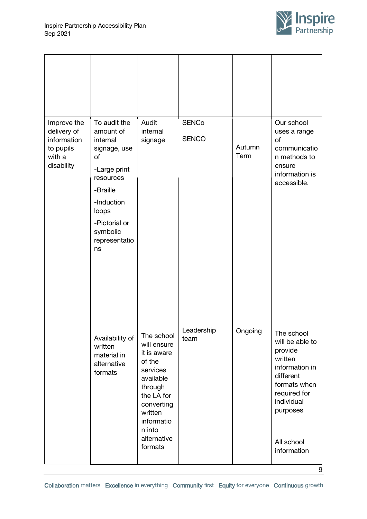

| Improve the<br>delivery of<br>information<br>to pupils<br>with a<br>disability | To audit the<br>amount of<br>internal<br>signage, use<br>of<br>-Large print<br>resources<br>-Braille<br>-Induction<br>loops<br>-Pictorial or<br>symbolic<br>representatio<br>ns | Audit<br>internal<br>signage                                                                                                                                                    | <b>SENCo</b><br><b>SENCO</b> | Autumn<br>Term | Our school<br>uses a range<br>of<br>communicatio<br>n methods to<br>ensure<br>information is<br>accessible.                                                               |
|--------------------------------------------------------------------------------|---------------------------------------------------------------------------------------------------------------------------------------------------------------------------------|---------------------------------------------------------------------------------------------------------------------------------------------------------------------------------|------------------------------|----------------|---------------------------------------------------------------------------------------------------------------------------------------------------------------------------|
|                                                                                | Availability of<br>written<br>material in<br>alternative<br>formats                                                                                                             | The school<br>will ensure<br>it is aware<br>of the<br>services<br>available<br>through<br>the LA for<br>converting<br>written<br>informatio<br>n into<br>alternative<br>formats | Leadership<br>team           | Ongoing        | The school<br>will be able to<br>provide<br>written<br>information in<br>different<br>formats when<br>required for<br>individual<br>purposes<br>All school<br>information |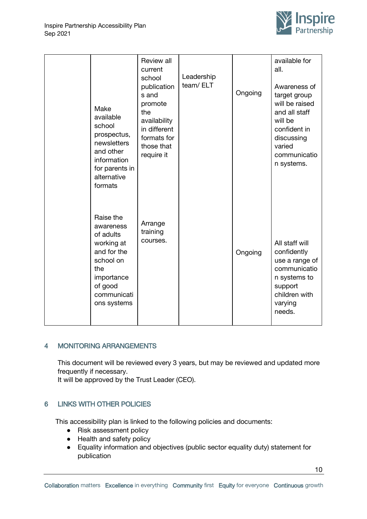

|  | Make<br>available<br>school<br>prospectus,<br>newsletters<br>and other<br>information<br>for parents in<br>alternative<br>formats           | Review all<br>current<br>school<br>publication<br>s and<br>promote<br>the<br>availability<br>in different<br>formats for<br>those that<br>require it | Leadership<br>team/ELT | Ongoing | available for<br>all.<br>Awareness of<br>target group<br>will be raised<br>and all staff<br>will be<br>confident in<br>discussing<br>varied<br>communicatio<br>n systems. |
|--|---------------------------------------------------------------------------------------------------------------------------------------------|------------------------------------------------------------------------------------------------------------------------------------------------------|------------------------|---------|---------------------------------------------------------------------------------------------------------------------------------------------------------------------------|
|  | Raise the<br>awareness<br>of adults<br>working at<br>and for the<br>school on<br>the<br>importance<br>of good<br>communicati<br>ons systems | Arrange<br>training<br>courses.                                                                                                                      |                        | Ongoing | All staff will<br>confidently<br>use a range of<br>communicatio<br>n systems to<br>support<br>children with<br>varying<br>needs.                                          |

### <span id="page-9-0"></span>4 MONITORING ARRANGEMENTS

This document will be reviewed every 3 years, but may be reviewed and updated more frequently if necessary.

It will be approved by the Trust Leader (CEO).

## <span id="page-9-1"></span>6 LINKS WITH OTHER POLICIES

This accessibility plan is linked to the following policies and documents:

- Risk assessment policy
- Health and safety policy
- Equality information and objectives (public sector equality duty) statement for publication